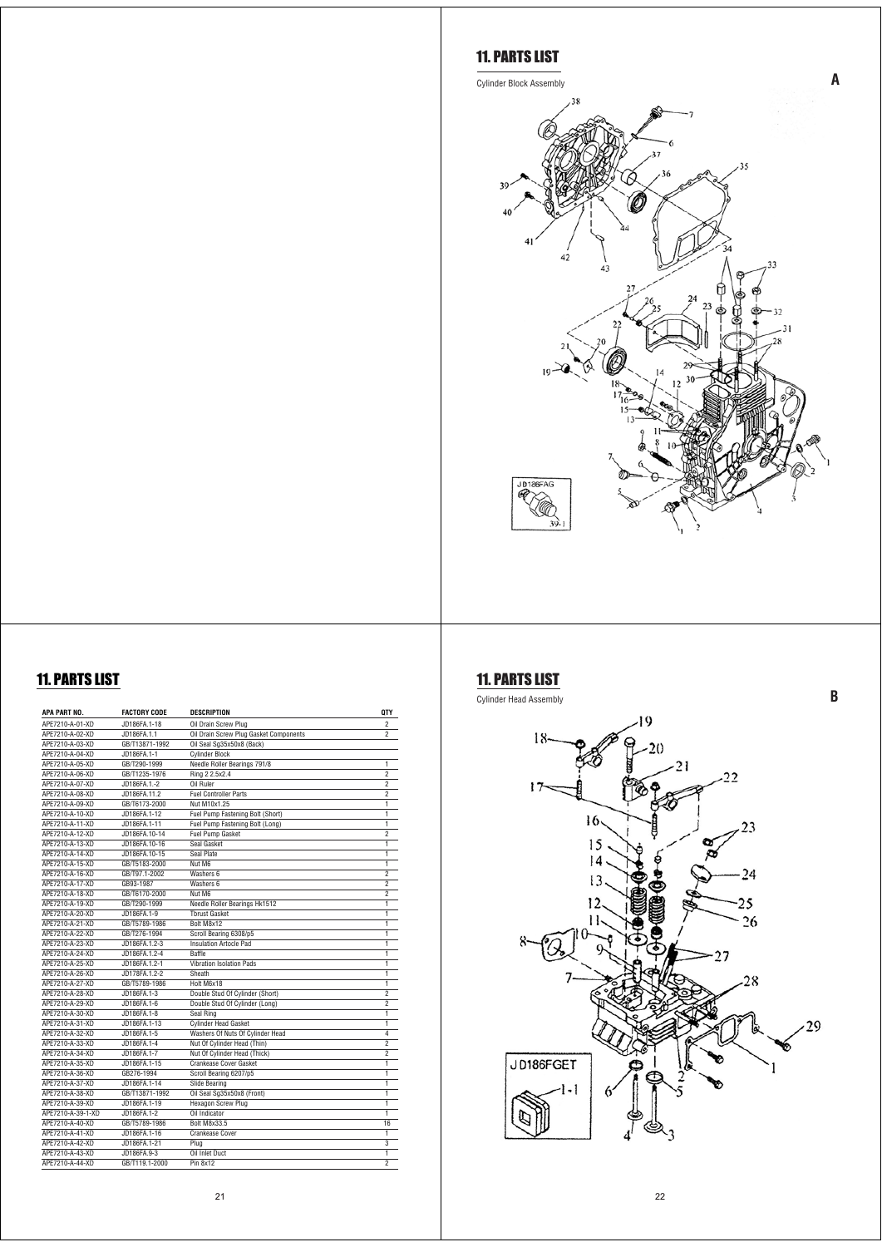

| APA PART NO.                       | <b>FACTORY CODE</b> | <b>DESCRIPTION</b>                                    | <b>QTY</b>                   |
|------------------------------------|---------------------|-------------------------------------------------------|------------------------------|
| APE7210-A-01-XD                    | JD186FA.1-18        | Oil Drain Screw Plug                                  | $\mathfrak{p}$               |
| APF7210-A-02-XD                    | JD186FA.1.1         | Oil Drain Screw Plug Gasket Components                | $\mathfrak{p}$               |
| APF7210-A-03-XD                    | GB/T13871-1992      | Oil Seal Sg35x50x8 (Back)                             |                              |
| APF7210-A-04-XD                    | JD186FA.1-1         | <b>Cylinder Block</b>                                 |                              |
| APF7210-A-05-XD                    | GB/T290-1999        | Needle Roller Bearings 791/8                          | $\overline{1}$               |
| APE7210-A-06-XD                    | GB/T1235-1976       | Ring 2 2.5x2.4                                        | $\overline{2}$               |
| APF7210-A-07-XD                    | JD186FA.1 .- 2      | Oil Ruler                                             | $\overline{2}$               |
| APF7210-A-08-XD                    | JD186FA.11.2        | <b>Fuel Controller Parts</b>                          | $\overline{2}$               |
| APF7210-A-09-XD                    | GB/T6173-2000       | Nut M10x1 25                                          | $\overline{1}$               |
| APE7210-A-10-XD                    | JD186FA.1-12        | Fuel Pump Fastening Bolt (Short)                      | $\overline{1}$               |
| APE7210-A-11-XD                    | JD186FA.1-11        | Fuel Pump Fastening Bolt (Long)                       | $\overline{1}$               |
| APF7210-A-12-XD                    | JD186FA.10-14       | <b>Fuel Pump Gasket</b>                               | 2                            |
| APE7210-A-13-XD                    | JD186FA.10-16       | Seal Gasket                                           | $\overline{1}$               |
| APE7210-A-14-XD                    | JD186FA.10-15       | Seal Plate                                            | $\overline{1}$               |
| APE7210-A-15-XD                    | GB/T5183-2000       | Nut M6                                                | $\overline{1}$               |
| APF7210-A-16-XD                    | GB/T97.1-2002       | Washers 6                                             | $\overline{2}$               |
| APF7210-A-17-XD                    | GB93-1987           | Washers 6                                             | $\overline{2}$               |
| APF7210-A-18-XD                    | GB/T6170-2000       | Nut M6                                                | $\overline{2}$               |
| APF7210-A-19-XD                    | GB/T290-1999        |                                                       | 1                            |
| APF7210-A-20-XD                    | JD186FA.1-9         | Needle Roller Bearings Hk1512<br><b>Thrust Gasket</b> | $\overline{1}$               |
| APF7210-A-21-XD                    | GB/T5789-1986       | Bolt M8x12                                            | $\overline{1}$               |
| APF7210-A-22-XD                    | GB/T276-1994        |                                                       | $\overline{1}$               |
| APF7210-A-23-XD                    | JD186FA.1.2-3       | Scroll Bearing 6308/p5<br>Insulation Artocle Pad      | $\overline{1}$               |
| APF7210-A-24-XD                    | JD186FA.1.2-4       | <b>Raffle</b>                                         | $\overline{1}$               |
| APF7210-A-25-XD                    | JD186FA.1.2-1       | Vibration Isolation Pads                              | $\overline{1}$               |
| APF7210-A-26-XD                    | JD178FA.1.2-2       | Sheath                                                | ī                            |
| APF7210-A-27-XD                    | GB/T5789-1986       | Holt M6x18                                            | $\overline{1}$               |
| APF7210-A-28-XD                    | JD186FA.1-3         | Double Stud Of Cylinder (Short)                       | 2                            |
| APE7210-A-29-XD                    | JD186FA.1-6         | Double Stud Of Cylinder (Long)                        | 2                            |
| APE7210-A-30-XD                    | JD186FA.1-8         |                                                       | ī                            |
| APF7210-A-31-XD                    | JD186FA.1-13        | Seal Ring<br><b>Cylinder Head Gasket</b>              | ī                            |
| APF7210-A-32-XD                    | JD186FA.1-5         | Washers Of Nuts Of Cylinder Head                      | $\overline{4}$               |
| APE7210-A-33-XD                    | JD186FA.1-4         | Nut Of Cylinder Head (Thin)                           | $\overline{2}$               |
| APE7210-A-34-XD                    | JD186FA.1-7         | Nut Of Cylinder Head (Thick)                          | 2                            |
| APE7210-A-35-XD                    | JD186FA.1-15        | <b>Crankease Cover Gasket</b>                         | ī                            |
| APF7210-A-36-XD                    | GB276-1994          | Scroll Bearing 6207/p5                                | ī                            |
| APE7210-A-37-XD                    | JD186FA.1-14        | Slide Bearing                                         | ī                            |
| APE7210-A-38-XD                    | GB/T13871-1992      | Oil Seal Sq35x50x8 (Front)                            | ī                            |
| APE7210-A-39-XD                    | JD186FA.1-19        | <b>Hexagon Screw Plug</b>                             | ī                            |
| APF7210-A-39-1-XD                  | JD186FA.1-2         | Oil Indicator                                         | 1                            |
| APF7210-A-40-XD                    | GB/T5789-1986       | <b>Bolt M8x33.5</b>                                   | 16                           |
|                                    |                     |                                                       |                              |
| APF7210-A-41-XD                    | JD186FA.1-16        | Crankease Cover                                       | 1<br>$\overline{\mathbf{3}}$ |
| APF7210-A-42-XD<br>APF7210-A-43-XD | JD186FA.1-21        | Plug<br>Oil Inlet Duct                                |                              |
|                                    | JD186FA.9-3         | Pin 8x12                                              | 1<br>$\overline{2}$          |
| APE7210-A-44-XD                    | GB/T119.1-2000      |                                                       |                              |

### 11. PARTS LIST

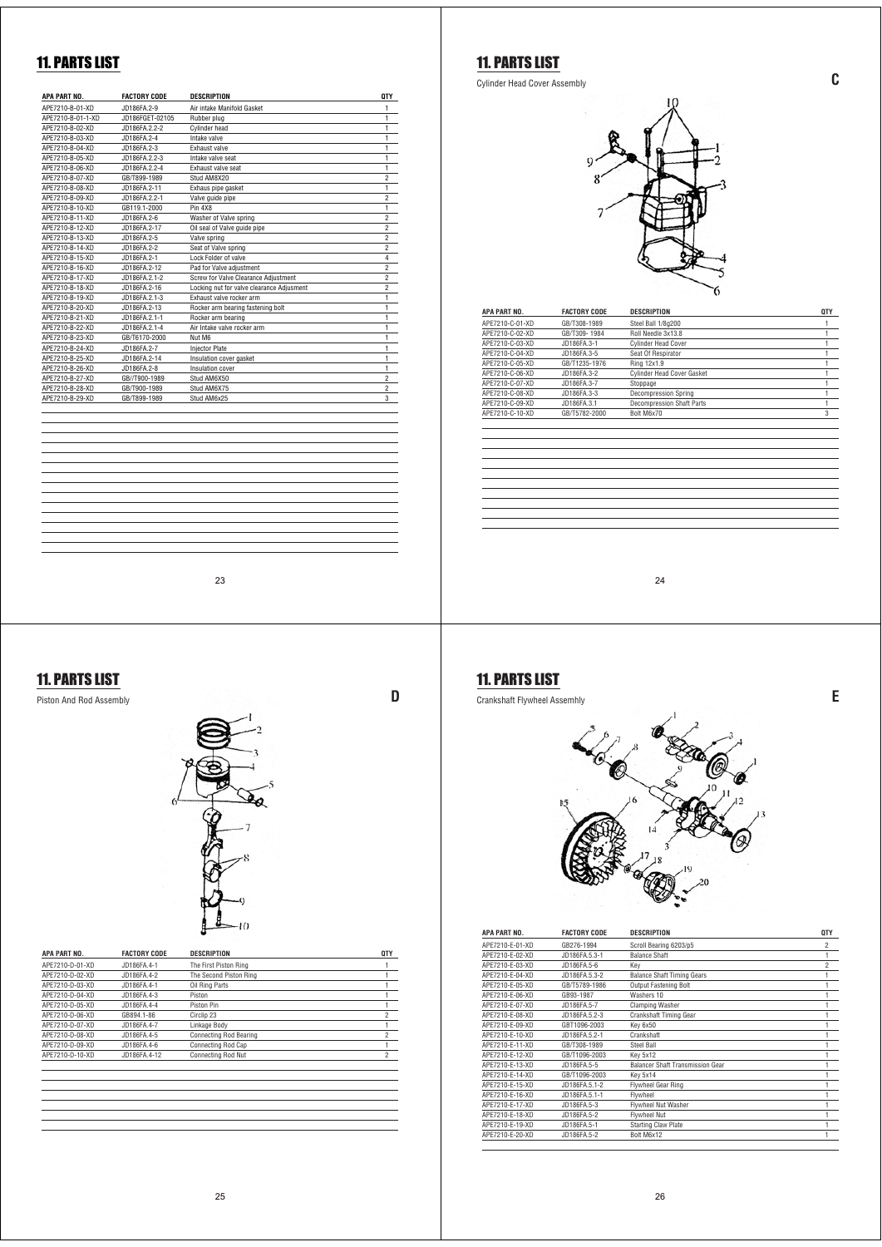| <b>APA PART NO.</b> | <b>FACTORY CODE</b> | <b>DESCRIPTION</b>                        | <b>QTY</b>     |
|---------------------|---------------------|-------------------------------------------|----------------|
| APF7210-B-01-XD     | JD186FA.2-9         | Air intake Manifold Gasket                | 1              |
| APE7210-B-01-1-XD   | JD186FGET-02105     | Rubber plug                               | 1              |
| APF7210-B-02-XD     | JD186FA 2.2-2       | <b>Cylinder head</b>                      | 1              |
| APE7210-B-03-XD     | JD186FA.2-4         | Intake valve                              | $\mathbf{1}$   |
| APF7210-B-04-XD     | JD186FA.2-3         | <b>Fxhaust valve</b>                      | 1              |
| APF7210-B-05-XD     | JD186FA.2.2-3       | Intake valve seat                         | $\mathbf{1}$   |
| APF7210-B-06-XD     | JD186FA.2.2-4       | Exhaust valve seat                        | 1              |
| APE7210-B-07-XD     | GB/T899-1989        | Stud AM8X20                               | $\overline{c}$ |
| APE7210-B-08-XD     | JD186FA.2-11        | Exhaus pipe gasket                        | 1              |
| APE7210-B-09-XD     | JD186FA.2.2-1       | Valve quide pipe                          | $\overline{2}$ |
| APE7210-B-10-XD     | GB119.1-2000        | Pin 4X8                                   | $\mathbf{1}$   |
| APF7210-B-11-XD     | JD186FA.2-6         | Washer of Valve spring                    | $\overline{c}$ |
| APE7210-B-12-XD     | JD186FA.2-17        | Oil seal of Valve guide pipe              | $\overline{c}$ |
| APF7210-B-13-XD     | JD186FA.2-5         | Valve spring                              | $\overline{c}$ |
| APF7210-B-14-XD     | JD186FA.2-2         | Seat of Valve spring                      | $\overline{c}$ |
| APE7210-B-15-XD     | JD186FA.2-1         | Lock Folder of valve                      | $\overline{4}$ |
| APE7210-B-16-XD     | JD186FA.2-12        | Pad for Valve adjustment                  | $\overline{c}$ |
| APF7210-B-17-XD     | JD186FA.2.1-2       | Screw for Valve Clearance Adjustment      | $\overline{2}$ |
| APE7210-B-18-XD     | JD186FA.2-16        | Locking nut for valve clearance Adjusment | $\overline{c}$ |
| APF7210-B-19-XD     | JD186FA.2.1-3       | Exhaust valve rocker arm                  | $\mathbf{1}$   |
| APE7210-B-20-XD     | JD186FA.2-13        | Rocker arm bearing fastening bolt         | 1              |
| APE7210-B-21-XD     | JD186FA.2.1-1       | Rocker arm bearing                        | 1              |
| APE7210-B-22-XD     | JD186FA.2.1-4       | Air Intake valve rocker arm               | $\mathbf{1}$   |
| APE7210-B-23-XD     | GB/T6170-2000       | Nut M6                                    | $\mathbf{1}$   |
| APF7210-B-24-XD     | JD186FA.2-7         | <b>Injector Plate</b>                     | 1              |
| APE7210-B-25-XD     | JD186FA.2-14        | Insulation cover gasket                   | 1              |
| APE7210-B-26-XD     | JD186FA.2-8         | Insulation cover                          | 1              |
| APE7210-B-27-XD     | GB//T900-1989       | Stud AM6X50                               | $\overline{c}$ |
| APE7210-B-28-XD     | GB/T900-1989        | Stud AM6X75                               | $\overline{2}$ |
| APE7210-B-29-XD     | GB/T899-1989        | Stud AM6x25                               | 3              |
|                     |                     |                                           |                |
|                     |                     |                                           |                |

23

#### 11. PARTS LIST



| APA PART NO.    | <b>FACTORY CODE</b> | <b>DESCRIPTION</b>            | <b>QTY</b>     |
|-----------------|---------------------|-------------------------------|----------------|
| APE7210-D-01-XD | JD186FA.4-1         | The First Piston Ring         |                |
| APE7210-D-02-XD | JD186FA.4-2         | The Second Piston Ring        |                |
| APE7210-D-03-XD | JD186FA.4-1         | Oil Ring Parts                |                |
| APE7210-D-04-XD | JD186FA.4-3         | Piston                        |                |
| APE7210-D-05-XD | JD186FA.4-4         | Piston Pin                    |                |
| APF7210-D-06-XD | GB894.1-86          | Circlip 23                    | $\overline{2}$ |
| APE7210-D-07-XD | JD186FA.4-7         | Linkage Body                  | 1              |
| APE7210-D-08-XD | JD186FA.4-5         | <b>Connecting Rod Bearing</b> | $\overline{c}$ |
| APF7210-D-09-XD | JD186FA 4-6         | Connecting Rod Cap            | 1              |
| APE7210-D-10-XD | JD186FA.4-12        | <b>Connecting Rod Nut</b>     | $\overline{2}$ |
|                 |                     |                               |                |
|                 |                     |                               |                |
|                 |                     |                               |                |

# 11. PARTS LIST

Cylinder Head Cover Assembly **C**



| APA PART NO.    | <b>FACTORY CODE</b> | <b>DESCRIPTION</b>                | <b>QTY</b> |
|-----------------|---------------------|-----------------------------------|------------|
| APE7210-C-01-XD | GB/T308-1989        | Steel Ball 1/8g200                |            |
| APE7210-C-02-XD | GB/T309-1984        | Roll Needle 3x13.8                |            |
| APE7210-C-03-XD | JD186FA.3-1         | <b>Cylinder Head Cover</b>        |            |
| APE7210-C-04-XD | JD186FA.3-5         | Seat Of Respirator                |            |
| APE7210-C-05-XD | GB/T1235-1976       | Ring 12x1.9                       |            |
| APE7210-C-06-XD | JD186FA.3-2         | <b>Cylinder Head Cover Gasket</b> |            |
| APE7210-C-07-XD | JD186FA.3-7         | Stoppage                          |            |
| APE7210-C-08-XD | JD186FA.3-3         | <b>Decompression Spring</b>       |            |
| APE7210-C-09-XD | JD186FA.3.1         | <b>Decompression Shaft Parts</b>  |            |
| APE7210-C-10-XD | GB/T5782-2000       | Bolt M6x70                        | 3          |
|                 |                     |                                   |            |
|                 |                     |                                   |            |
|                 |                     |                                   |            |
|                 |                     |                                   |            |
|                 |                     |                                   |            |
|                 |                     |                                   |            |
|                 |                     |                                   |            |
|                 |                     |                                   |            |
|                 |                     |                                   |            |
|                 |                     |                                   |            |
|                 |                     |                                   |            |

24

# 11. PARTS LIST

Crankshaft Flywheel Assemhly **E**



| APA PART NO.    | <b>FACTORY CODE</b> | <b>DESCRIPTION</b>                      | <b>QTY</b>     |
|-----------------|---------------------|-----------------------------------------|----------------|
| APE7210-E-01-XD | GB276-1994          | Scroll Bearing 6203/p5                  | $\overline{c}$ |
| APE7210-E-02-XD | JD186FA.5.3-1       | <b>Balance Shaft</b>                    | 1              |
| APF7210-F-03-XD | JD186FA.5-6         | Kev                                     | $\overline{c}$ |
| APE7210-E-04-XD | JD186FA.5.3-2       | <b>Balance Shaft Timing Gears</b>       | 1              |
| APE7210-E-05-XD | GB/T5789-1986       | Output Fastening Bolt                   | 1              |
| APE7210-E-06-XD | GB93-1987           | Washers 10                              | 1              |
| APE7210-E-07-XD | JD186FA.5-7         | <b>Clamping Washer</b>                  | 1              |
| APE7210-E-08-XD | JD186FA.5.2-3       | <b>Crankshaft Timing Gear</b>           | 1              |
| APF7210-F-09-XD | GBT1096-2003        | Key 6x50                                | 1              |
| APE7210-E-10-XD | JD186FA.5.2-1       | Crankshaft                              | 1              |
| APF7210-F-11-XD | GB/T308-1989        | Steel Ball                              | 1              |
| APF7210-F-12-XD | GB/T1096-2003       | Kev 5x12                                | 1              |
| APF7210-F-13-XD | JD186FA.5-5         | <b>Balancer Shaft Transmission Gear</b> | 1              |
| APF7210-F-14-XD | GB/T1096-2003       | Key 5x14                                | 1              |
| APF7210-F-15-XD | JD186FA.5.1-2       | <b>Flywheel Gear Ring</b>               | 1              |
| APE7210-E-16-XD | JD186FA.5.1-1       | Flywheel                                | 1              |
| APF7210-F-17-XD | JD186FA.5-3         | Flywheel Nut Washer                     | 1              |
| APE7210-E-18-XD | JD186FA.5-2         | <b>Flywheel Nut</b>                     | 1              |
| APF7210-F-19-XD | JD186FA.5-1         | <b>Starting Claw Plate</b>              | 1              |
| APF7210-F-20-XD | JD186FA.5-2         | Bolt M6x12                              | 1              |
|                 |                     |                                         |                |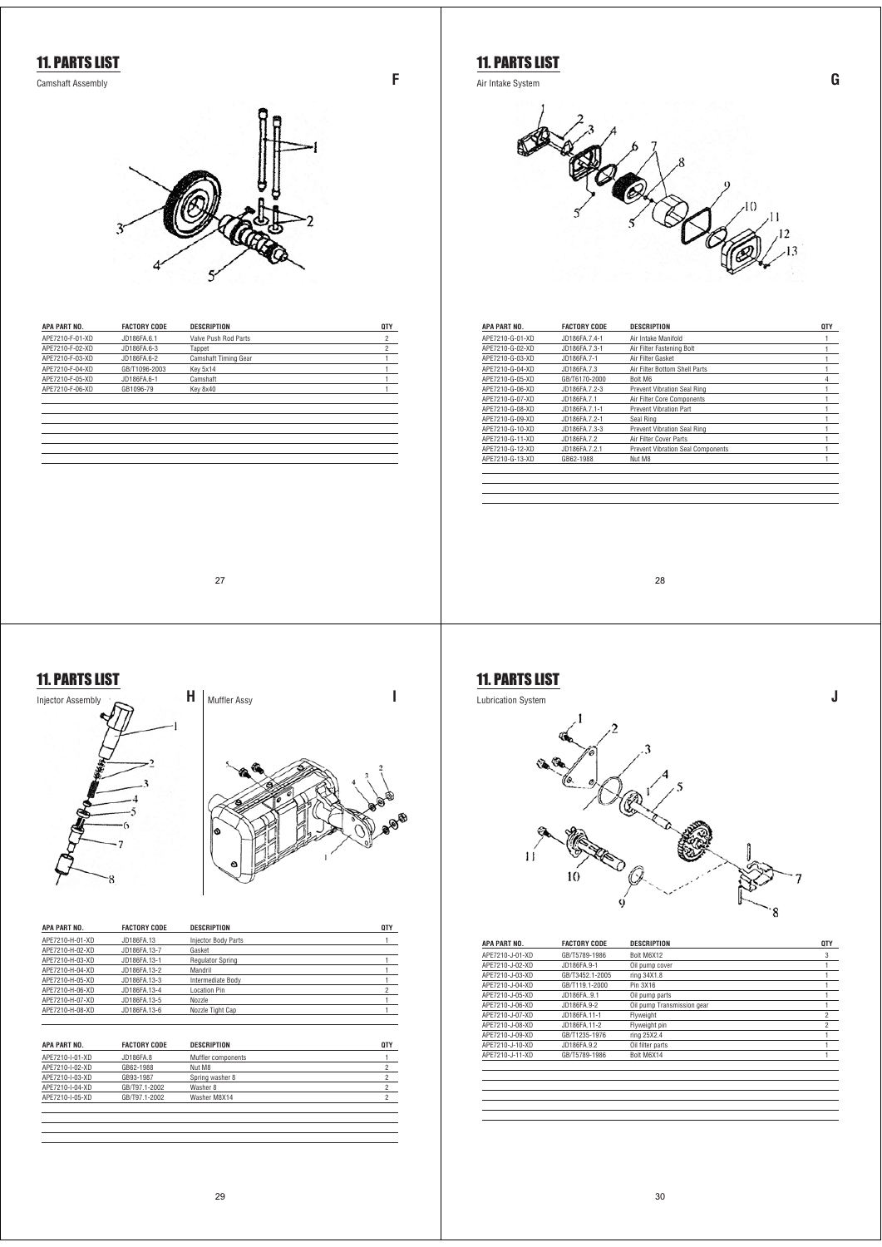

| APA PART NO.    | <b>FACTORY CODE</b> | <b>DESCRIPTION</b>   | <b>QTY</b> |
|-----------------|---------------------|----------------------|------------|
| APF7210-F-01-XD | JD186FA.6.1         | Valve Push Rod Parts | 2          |
| APF7210-F-02-XD | JD186FA.6-3         | Tappet               |            |
| APF7210-F-03-XD | JD186FA.6-2         | Camshaft Timing Gear |            |
| APF7210-F-04-XD | GB/T1096-2003       | Key 5x14             |            |
| APF7210-F-05-XD | JD186FA.6-1         | Camshaft             |            |
| APF7210-F-06-XD | GB1096-79           | Key 8x40             |            |
|                 |                     |                      |            |
|                 |                     |                      |            |

**C** Air Intake System **G** 



| APA PART NO.    | <b>FACTORY CODE</b> | <b>DESCRIPTION</b>                       | <b>QTY</b> |
|-----------------|---------------------|------------------------------------------|------------|
| APE7210-G-01-XD | JD186FA.7.4-1       | Air Intake Manifold                      |            |
| APE7210-G-02-XD | JD186FA.7.3-1       | Air Filter Fastening Bolt                |            |
| APE7210-G-03-XD | JD186FA.7-1         | Air Filter Gasket                        |            |
| APF7210-G-04-XD | JD186FA.7.3         | Air Filter Bottom Shell Parts            |            |
| APF7210-G-05-XD | GB/T6170-2000       | Bolt M6                                  | 4          |
| APF7210-G-06-XD | JD186FA72-3         | <b>Prevent Vibration Seal Ring</b>       |            |
| APF7210-G-07-XD | JD186FA.7.1         | Air Filter Core Components               |            |
| APF7210-G-08-XD | JD186FA.7.1-1       | Prevent Vibration Part                   |            |
| APE7210-G-09-XD | JD186FA.7.2-1       | Seal Ring                                |            |
| APF7210-G-10-XD | JD186FA.7.3-3       | Prevent Vibration Seal Ring              |            |
| APF7210-G-11-XD | JD186FA.7.2         | Air Filter Cover Parts                   |            |
| APF7210-G-12-XD | JD186FA.7.2.1       | <b>Prevent Vibration Seal Components</b> |            |
| APE7210-G-13-XD | GB62-1988           | Nut M8                                   |            |
|                 |                     |                                          |            |
|                 |                     |                                          |            |

27

#### 11. PARTS LIST





| APA PART NO.    | <b>FACTORY CODE</b> | <b>DESCRIPTION</b>         | QTY |
|-----------------|---------------------|----------------------------|-----|
| APF7210-H-01-XD | JD186FA.13          | <b>Injector Body Parts</b> |     |
| APF7210-H-02-XD | JD186FA.13-7        | Gasket                     |     |
| APF7210-H-03-XD | JD186FA.13-1        | <b>Regulator Spring</b>    |     |
| APF7210-H-04-XD | JD186FA.13-2        | Mandril                    |     |
| APF7210-H-05-XD | JD186FA.13-3        | Intermediate Body          |     |
| APF7210-H-06-XD | JD186FA.13-4        | Location Pin               | 2   |
| APF7210-H-07-XD | JD186FA.13-5        | Nozzle                     |     |
| APF7210-H-08-XD | JD186FA.13-6        | Nozzle Tight Cap           |     |

| APA PART NO.    | <b>FACTORY CODE</b> | <b>DESCRIPTION</b> | <b>QTY</b> |
|-----------------|---------------------|--------------------|------------|
| APE7210-I-01-XD | JD186FA.8           | Muffler components |            |
| APF7210-I-02-XD | GB62-1988           | Nut M8             |            |
| APE7210-I-03-XD | GB93-1987           | Spring washer 8    |            |
| APF7210-I-04-XD | GB/T97.1-2002       | Washer 8           |            |
| APF7210-I-05-XD | GB/T97.1-2002       | Washer M8X14       |            |
|                 |                     |                    |            |

28

**J**

#### 11. PARTS LIST Lubrication System



| APA PART NO.    | <b>FACTORY CODE</b> | <b>DESCRIPTION</b>         | <b>QTY</b>     |
|-----------------|---------------------|----------------------------|----------------|
| APE7210-J-01-XD | GB/T5789-1986       | Bolt M6X12                 | 3              |
| APE7210-J-02-XD | JD186FA.9-1         | Oil pump cover             |                |
| APF7210-J-03-XD | GB/T3452.1-2005     | ring 34X1.8                |                |
| APE7210-J-04-XD | GB/T119.1-2000      | Pin 3X16                   |                |
| APE7210-J-05-XD | JD186FA9.1          | Oil pump parts             |                |
| APF7210-J-06-XD | JD186FA.9-2         | Oil pump Transmission gear |                |
| APE7210-J-07-XD | JD186FA.11-1        | Flyweight                  | $\overline{2}$ |
| APE7210-J-08-XD | JD186FA.11-2        | Flyweight pin              | $\overline{c}$ |
| APF7210-J-09-XD | GB/T1235-1976       | ring 25X2.4                |                |
| APE7210-J-10-XD | JD186FA.9.2         | Oil filter parts           |                |
| APE7210-J-11-XD | GB/T5789-1986       | Bolt M6X14                 |                |
|                 |                     |                            |                |
|                 |                     |                            |                |
|                 |                     |                            |                |
|                 |                     |                            |                |
|                 |                     |                            |                |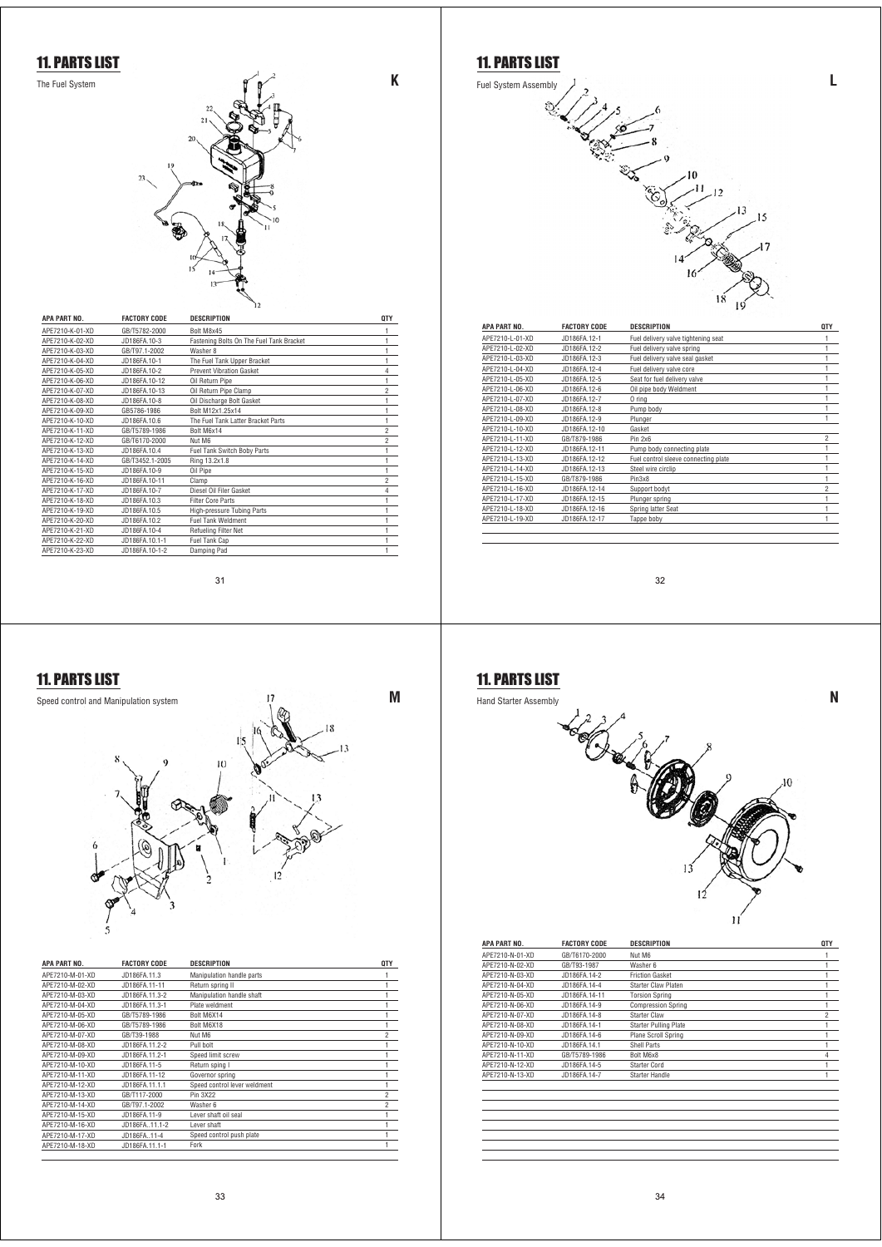

| APA PART NO.    | <b>FACTORY CODE</b> | <b>DESCRIPTION</b>                       | <b>QTY</b>     |
|-----------------|---------------------|------------------------------------------|----------------|
| APE7210-K-01-XD | GB/T5782-2000       | Bolt M8x45                               | 1              |
| APF7210-K-02-XD | JD186FA.10-3        | Fastening Bolts On The Fuel Tank Bracket | 1              |
| APF7210-K-03-XD | GB/T97.1-2002       | Washer 8                                 | 1              |
| APE7210-K-04-XD | JD186FA.10-1        | The Fuel Tank Upper Bracket              | 1              |
| APF7210-K-05-XD | JD186FA.10-2        | <b>Prevent Vibration Gasket</b>          | 4              |
| APE7210-K-06-XD | JD186FA.10-12       | Oil Return Pipe                          | 1              |
| APF7210-K-07-XD | JD186FA.10-13       | Oil Return Pipe Clamp                    | $\overline{c}$ |
| APF7210-K-08-XD | JD186FA.10-8        | Oil Discharge Bolt Gasket                | 1              |
| APE7210-K-09-XD | GB5786-1986         | Bolt M12x1.25x14                         | i              |
| APF7210-K-10-XD | JD186FA.10.6        | The Fuel Tank Latter Bracket Parts       | 1              |
| APE7210-K-11-XD | GB/T5789-1986       | Bolt M6x14                               | 2              |
| APF7210-K-12-XD | GB/T6170-2000       | Nut M6                                   | $\overline{c}$ |
| APF7210-K-13-XD | JD186FA.10.4        | Fuel Tank Switch Boby Parts              | 1              |
| APF7210-K-14-XD | GB/T3452.1-2005     | Ring 13.2x1.8                            | 1              |
| APF7210-K-15-XD | JD186FA.10-9        | Oil Pipe                                 | 1              |
| APF7210-K-16-XD | JD186FA.10-11       | Clamp                                    | $\overline{c}$ |
| APF7210-K-17-XD | JD186FA.10-7        | Diesel Oil Filer Gasket                  | 4              |
| APF7210-K-18-XD | JD186FA.10.3        | <b>Filter Core Parts</b>                 |                |
| APF7210-K-19-XD | JD186FA.10.5        | High-pressure Tubing Parts               | 1              |
| APE7210-K-20-XD | JD186FA.10.2        | <b>Fuel Tank Weldment</b>                | ٠              |
| APE7210-K-21-XD | JD186FA.10-4        | Refueling Filter Net                     |                |
| APE7210-K-22-XD | JD186FA.10.1-1      | Fuel Tank Cap                            | 1              |
| APF7210-K-23-XD | JD186FA.10-1-2      | Damping Pad                              |                |

31



| APA PART NO.    | <b>FACTORY CODE</b> | <b>DESCRIPTION</b>           | <b>QTY</b>     |
|-----------------|---------------------|------------------------------|----------------|
| APE7210-M-01-XD | JD186FA.11.3        | Manipulation handle parts    |                |
| APF7210-M-02-XD | JD186FA.11-11       | Return spring II             |                |
| APF7210-M-03-XD | JD186FA.11.3-2      | Manipulation handle shaft    |                |
| APF7210-M-04-XD | JD186FA.11.3-1      | Plate weldment               |                |
| APF7210-M-05-XD | GB/T5789-1986       | Bolt M6X14                   |                |
| APF7210-M-06-XD | GB/T5789-1986       | Bolt M6X18                   |                |
| APF7210-M-07-XD | GB/T39-1988         | Nut M6                       | $\overline{2}$ |
| APE7210-M-08-XD | JD186FA.11.2-2      | Pull bolt                    |                |
| APF7210-M-09-XD | JD186FA.11.2-1      | Speed limit screw            |                |
| APE7210-M-10-XD | JD186FA.11-5        | Return sping I               |                |
| APF7210-M-11-XD | JD186FA.11-12       | Governor spring              |                |
| APF7210-M-12-XD | JD186FA.11.1.1      | Speed control lever weldment |                |
| APF7210-M-13-XD | GB/T117-2000        | Pin 3X22                     | $\overline{c}$ |
| APE7210-M-14-XD | GB/T97.1-2002       | Washer 6                     | $\overline{c}$ |
| APF7210-M-15-XD | JD186FA.11-9        | I ever shaft oil seal        |                |
| APF7210-M-16-XD | JD186FA 11.1-2      | I ever shaft                 |                |
| APE7210-M-17-XD | JD186FA11-4         | Speed control push plate     |                |
| APF7210-M-18-XD | JD186FA.11.1-1      | Fork                         |                |





| APA PART NO.    | <b>FACTORY CODE</b> | <b>DESCRIPTION</b>                   | <b>QTY</b>     |
|-----------------|---------------------|--------------------------------------|----------------|
| APE7210-L-01-XD | JD186FA.12-1        | Fuel delivery valve tightening seat  |                |
| APE7210-L-02-XD | JD186FA.12-2        | Fuel delivery valve spring           |                |
| APF7210-I-03-XD | JD186FA.12-3        | Fuel delivery valve seal gasket      |                |
| APF7210-I-04-XD | JD186FA.12-4        | Fuel delivery valve core             |                |
| APF7210-I-05-XD | JD186FA.12-5        | Seat for fuel delivery valve         |                |
| APE7210-L-06-XD | JD186FA.12-6        | Oil pipe body Weldment               |                |
| APE7210-L-07-XD | JD186FA.12-7        | 0 ring                               |                |
| APE7210-L-08-XD | JD186FA.12-8        | Pump body                            |                |
| APE7210-L-09-XD | JD186FA.12-9        | Plunger                              |                |
| APF7210-I-10-XD | JD186FA.12-10       | Gasket                               |                |
| APE7210-L-11-XD | GB/T879-1986        | Pin 2x6                              | 2              |
| APF7210-I-12-XD | JD186FA.12-11       | Pump body connecting plate           |                |
| APF7210-L-13-XD | JD186FA.12-12       | Fuel control sleeve connecting plate |                |
| APF7210-I-14-XD | JD186FA.12-13       | Steel wire circlip                   |                |
| APE7210-L-15-XD | GB/T879-1986        | Pin3x8                               |                |
| APE7210-L-16-XD | JD186FA.12-14       | Support bodyt                        | $\overline{c}$ |
| APE7210-L-17-XD | JD186FA.12-15       | Plunger spring                       |                |
| APE7210-L-18-XD | JD186FA.12-16       | Spring latter Seat                   |                |
| APE7210-L-19-XD | JD186FA.12-17       | Tappe boby                           |                |

32



| APA PART NO.    | <b>FACTORY CODE</b> | <b>DESCRIPTION</b>           | <b>QTY</b>     |
|-----------------|---------------------|------------------------------|----------------|
| APF7210-N-01-XD | GB/T6170-2000       | Nut M6                       | 1              |
| APF7210-N-02-XD | GB/T93-1987         | Washer 6                     | 1              |
| APE7210-N-03-XD | JD186FA.14-2        | <b>Friction Gasket</b>       | 1              |
| APE7210-N-04-XD | JD186FA.14-4        | Starter Claw Platen          | 1              |
| APF7210-N-05-XD | JD186FA.14-11       | <b>Torsion Spring</b>        | 1              |
| APE7210-N-06-XD | JD186FA.14-9        | <b>Compression Spring</b>    | 1              |
| APF7210-N-07-XD | JD186FA.14-8        | Starter Claw                 | $\overline{c}$ |
| APF7210-N-08-XD | JD186FA.14-1        | <b>Starter Pulling Plate</b> | 1              |
| APF7210-N-09-XD | JD186FA.14-6        | Plane Scroll Spring          | 1              |
| APE7210-N-10-XD | JD186FA.14.1        | Shell Parts                  | 1              |
| APF7210-N-11-XD | GB/T5789-1986       | Bolt M6x8                    | $\overline{4}$ |
| APF7210-N-12-XD | JD186FA.14-5        | Starter Cord                 | 1              |
| APF7210-N-13-XD | JD186FA.14-7        | Starter Handle               | 1              |
|                 |                     |                              |                |
|                 |                     |                              |                |
|                 |                     |                              |                |
|                 |                     |                              |                |
|                 |                     |                              |                |
|                 |                     |                              |                |
|                 |                     |                              |                |